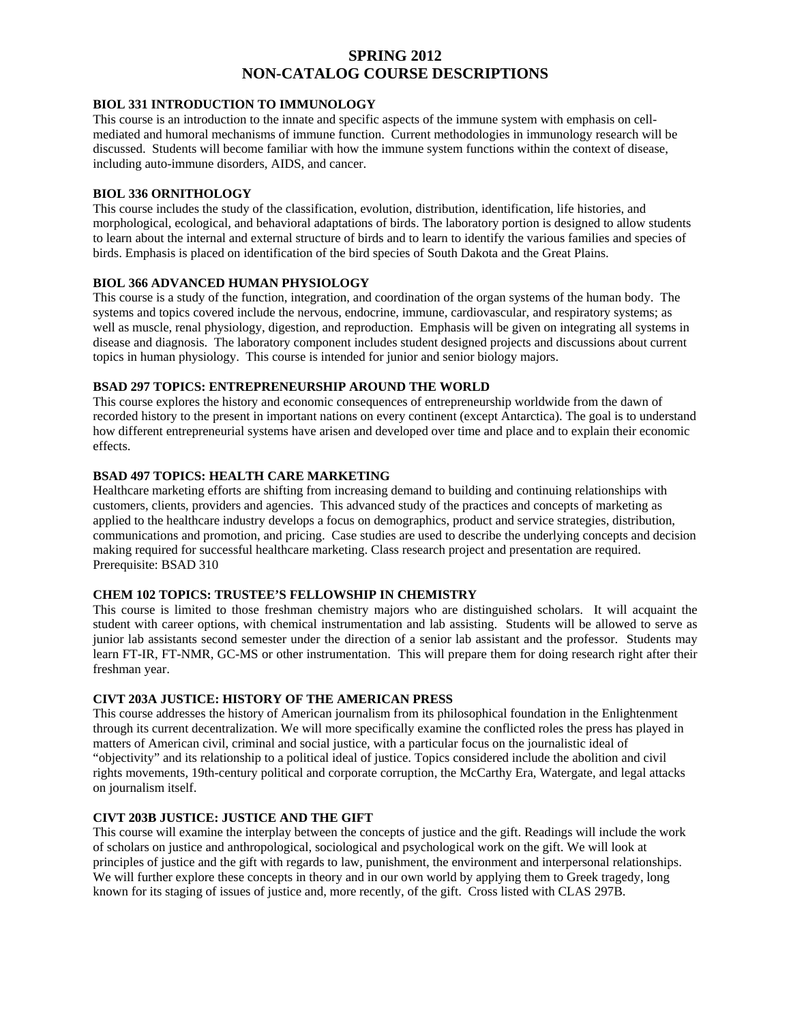# **SPRING 2012 NON-CATALOG COURSE DESCRIPTIONS**

#### **BIOL 331 INTRODUCTION TO IMMUNOLOGY**

This course is an introduction to the innate and specific aspects of the immune system with emphasis on cellmediated and humoral mechanisms of immune function. Current methodologies in immunology research will be discussed. Students will become familiar with how the immune system functions within the context of disease, including auto-immune disorders, AIDS, and cancer.

#### **BIOL 336 ORNITHOLOGY**

This course includes the study of the classification, evolution, distribution, identification, life histories, and morphological, ecological, and behavioral adaptations of birds. The laboratory portion is designed to allow students to learn about the internal and external structure of birds and to learn to identify the various families and species of birds. Emphasis is placed on identification of the bird species of South Dakota and the Great Plains.

#### **BIOL 366 ADVANCED HUMAN PHYSIOLOGY**

This course is a study of the function, integration, and coordination of the organ systems of the human body. The systems and topics covered include the nervous, endocrine, immune, cardiovascular, and respiratory systems; as well as muscle, renal physiology, digestion, and reproduction. Emphasis will be given on integrating all systems in disease and diagnosis. The laboratory component includes student designed projects and discussions about current topics in human physiology. This course is intended for junior and senior biology majors.

### **BSAD 297 TOPICS: ENTREPRENEURSHIP AROUND THE WORLD**

This course explores the history and economic consequences of entrepreneurship worldwide from the dawn of recorded history to the present in important nations on every continent (except Antarctica). The goal is to understand how different entrepreneurial systems have arisen and developed over time and place and to explain their economic effects.

### **BSAD 497 TOPICS: HEALTH CARE MARKETING**

Healthcare marketing efforts are shifting from increasing demand to building and continuing relationships with customers, clients, providers and agencies. This advanced study of the practices and concepts of marketing as applied to the healthcare industry develops a focus on demographics, product and service strategies, distribution, communications and promotion, and pricing. Case studies are used to describe the underlying concepts and decision making required for successful healthcare marketing. Class research project and presentation are required. Prerequisite: BSAD 310

#### **CHEM 102 TOPICS: TRUSTEE'S FELLOWSHIP IN CHEMISTRY**

This course is limited to those freshman chemistry majors who are distinguished scholars. It will acquaint the student with career options, with chemical instrumentation and lab assisting. Students will be allowed to serve as junior lab assistants second semester under the direction of a senior lab assistant and the professor. Students may learn FT-IR, FT-NMR, GC-MS or other instrumentation. This will prepare them for doing research right after their freshman year.

### **CIVT 203A JUSTICE: HISTORY OF THE AMERICAN PRESS**

This course addresses the history of American journalism from its philosophical foundation in the Enlightenment through its current decentralization. We will more specifically examine the conflicted roles the press has played in matters of American civil, criminal and social justice, with a particular focus on the journalistic ideal of "objectivity" and its relationship to a political ideal of justice. Topics considered include the abolition and civil rights movements, 19th-century political and corporate corruption, the McCarthy Era, Watergate, and legal attacks on journalism itself.

# **CIVT 203B JUSTICE: JUSTICE AND THE GIFT**

This course will examine the interplay between the concepts of justice and the gift. Readings will include the work of scholars on justice and anthropological, sociological and psychological work on the gift. We will look at principles of justice and the gift with regards to law, punishment, the environment and interpersonal relationships. We will further explore these concepts in theory and in our own world by applying them to Greek tragedy, long known for its staging of issues of justice and, more recently, of the gift. Cross listed with CLAS 297B.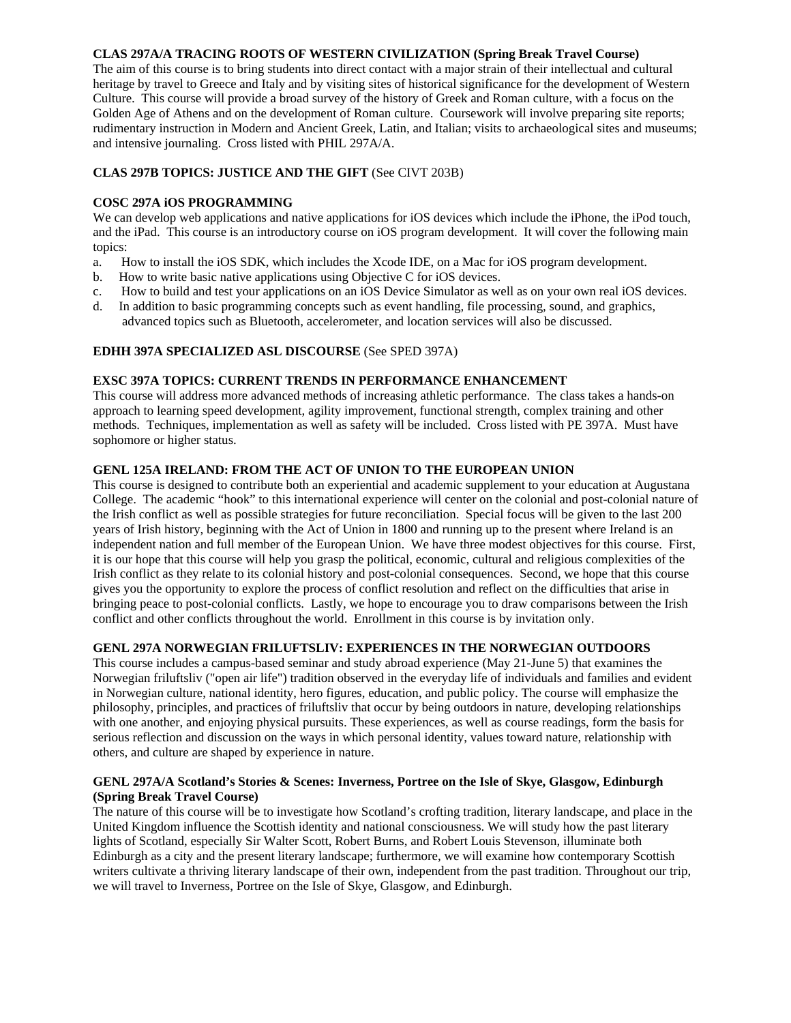### **CLAS 297A/A TRACING ROOTS OF WESTERN CIVILIZATION (Spring Break Travel Course)**

The aim of this course is to bring students into direct contact with a major strain of their intellectual and cultural heritage by travel to Greece and Italy and by visiting sites of historical significance for the development of Western Culture. This course will provide a broad survey of the history of Greek and Roman culture, with a focus on the Golden Age of Athens and on the development of Roman culture. Coursework will involve preparing site reports; rudimentary instruction in Modern and Ancient Greek, Latin, and Italian; visits to archaeological sites and museums; and intensive journaling. Cross listed with PHIL 297A/A.

# **CLAS 297B TOPICS: JUSTICE AND THE GIFT** (See CIVT 203B)

# **COSC 297A iOS PROGRAMMING**

We can develop web applications and native applications for iOS devices which include the iPhone, the iPod touch, and the iPad. This course is an introductory course on iOS program development. It will cover the following main topics:

- a. How to install the iOS SDK, which includes the Xcode IDE, on a Mac for iOS program development.
- b. How to write basic native applications using Objective C for iOS devices.
- c. How to build and test your applications on an iOS Device Simulator as well as on your own real iOS devices.
- d. In addition to basic programming concepts such as event handling, file processing, sound, and graphics, advanced topics such as Bluetooth, accelerometer, and location services will also be discussed.

# **EDHH 397A SPECIALIZED ASL DISCOURSE** (See SPED 397A)

### **EXSC 397A TOPICS: CURRENT TRENDS IN PERFORMANCE ENHANCEMENT**

This course will address more advanced methods of increasing athletic performance. The class takes a hands-on approach to learning speed development, agility improvement, functional strength, complex training and other methods. Techniques, implementation as well as safety will be included. Cross listed with PE 397A. Must have sophomore or higher status.

### **GENL 125A IRELAND: FROM THE ACT OF UNION TO THE EUROPEAN UNION**

This course is designed to contribute both an experiential and academic supplement to your education at Augustana College. The academic "hook" to this international experience will center on the colonial and post-colonial nature of the Irish conflict as well as possible strategies for future reconciliation. Special focus will be given to the last 200 years of Irish history, beginning with the Act of Union in 1800 and running up to the present where Ireland is an independent nation and full member of the European Union. We have three modest objectives for this course. First, it is our hope that this course will help you grasp the political, economic, cultural and religious complexities of the Irish conflict as they relate to its colonial history and post-colonial consequences. Second, we hope that this course gives you the opportunity to explore the process of conflict resolution and reflect on the difficulties that arise in bringing peace to post-colonial conflicts. Lastly, we hope to encourage you to draw comparisons between the Irish conflict and other conflicts throughout the world. Enrollment in this course is by invitation only.

# **GENL 297A NORWEGIAN FRILUFTSLIV: EXPERIENCES IN THE NORWEGIAN OUTDOORS**

This course includes a campus-based seminar and study abroad experience (May 21-June 5) that examines the Norwegian friluftsliv ("open air life") tradition observed in the everyday life of individuals and families and evident in Norwegian culture, national identity, hero figures, education, and public policy. The course will emphasize the philosophy, principles, and practices of friluftsliv that occur by being outdoors in nature, developing relationships with one another, and enjoying physical pursuits. These experiences, as well as course readings, form the basis for serious reflection and discussion on the ways in which personal identity, values toward nature, relationship with others, and culture are shaped by experience in nature.

### **GENL 297A/A Scotland's Stories & Scenes: Inverness, Portree on the Isle of Skye, Glasgow, Edinburgh (Spring Break Travel Course)**

The nature of this course will be to investigate how Scotland's crofting tradition, literary landscape, and place in the United Kingdom influence the Scottish identity and national consciousness. We will study how the past literary lights of Scotland, especially Sir Walter Scott, Robert Burns, and Robert Louis Stevenson, illuminate both Edinburgh as a city and the present literary landscape; furthermore, we will examine how contemporary Scottish writers cultivate a thriving literary landscape of their own, independent from the past tradition. Throughout our trip, we will travel to Inverness, Portree on the Isle of Skye, Glasgow, and Edinburgh.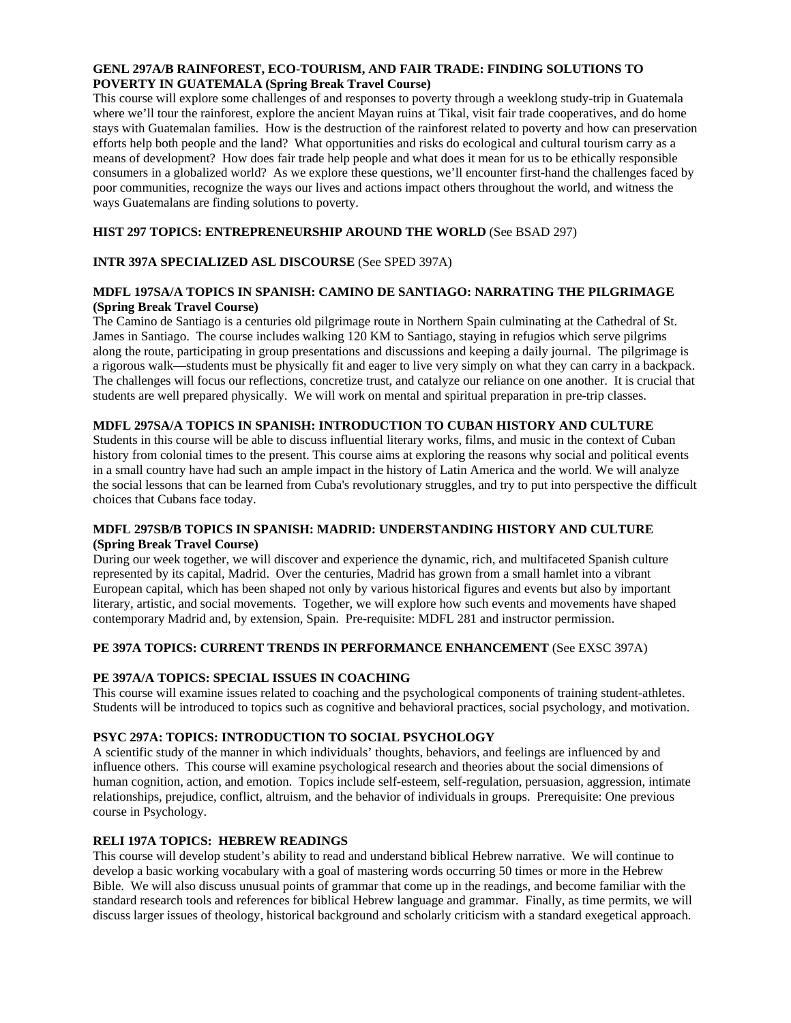#### **GENL 297A/B RAINFOREST, ECO-TOURISM, AND FAIR TRADE: FINDING SOLUTIONS TO POVERTY IN GUATEMALA (Spring Break Travel Course)**

This course will explore some challenges of and responses to poverty through a weeklong study-trip in Guatemala where we'll tour the rainforest, explore the ancient Mayan ruins at Tikal, visit fair trade cooperatives, and do home stays with Guatemalan families. How is the destruction of the rainforest related to poverty and how can preservation efforts help both people and the land? What opportunities and risks do ecological and cultural tourism carry as a means of development? How does fair trade help people and what does it mean for us to be ethically responsible consumers in a globalized world? As we explore these questions, we'll encounter first-hand the challenges faced by poor communities, recognize the ways our lives and actions impact others throughout the world, and witness the ways Guatemalans are finding solutions to poverty.

### **HIST 297 TOPICS: ENTREPRENEURSHIP AROUND THE WORLD** (See BSAD 297)

# **INTR 397A SPECIALIZED ASL DISCOURSE** (See SPED 397A)

### **MDFL 197SA/A TOPICS IN SPANISH: CAMINO DE SANTIAGO: NARRATING THE PILGRIMAGE (Spring Break Travel Course)**

The Camino de Santiago is a centuries old pilgrimage route in Northern Spain culminating at the Cathedral of St. James in Santiago. The course includes walking 120 KM to Santiago, staying in refugios which serve pilgrims along the route, participating in group presentations and discussions and keeping a daily journal. The pilgrimage is a rigorous walk—students must be physically fit and eager to live very simply on what they can carry in a backpack. The challenges will focus our reflections, concretize trust, and catalyze our reliance on one another. It is crucial that students are well prepared physically. We will work on mental and spiritual preparation in pre-trip classes.

# **MDFL 297SA/A TOPICS IN SPANISH: INTRODUCTION TO CUBAN HISTORY AND CULTURE**

Students in this course will be able to discuss influential literary works, films, and music in the context of Cuban history from colonial times to the present. This course aims at exploring the reasons why social and political events in a small country have had such an ample impact in the history of Latin America and the world. We will analyze the social lessons that can be learned from Cuba's revolutionary struggles, and try to put into perspective the difficult choices that Cubans face today.

### **MDFL 297SB/B TOPICS IN SPANISH: MADRID: UNDERSTANDING HISTORY AND CULTURE (Spring Break Travel Course)**

During our week together, we will discover and experience the dynamic, rich, and multifaceted Spanish culture represented by its capital, Madrid. Over the centuries, Madrid has grown from a small hamlet into a vibrant European capital, which has been shaped not only by various historical figures and events but also by important literary, artistic, and social movements. Together, we will explore how such events and movements have shaped contemporary Madrid and, by extension, Spain. Pre-requisite: MDFL 281 and instructor permission.

### **PE 397A TOPICS: CURRENT TRENDS IN PERFORMANCE ENHANCEMENT** (See EXSC 397A)

### **PE 397A/A TOPICS: SPECIAL ISSUES IN COACHING**

This course will examine issues related to coaching and the psychological components of training student-athletes. Students will be introduced to topics such as cognitive and behavioral practices, social psychology, and motivation.

### **PSYC 297A: TOPICS: INTRODUCTION TO SOCIAL PSYCHOLOGY**

A scientific study of the manner in which individuals' thoughts, behaviors, and feelings are influenced by and influence others. This course will examine psychological research and theories about the social dimensions of human cognition, action, and emotion. Topics include self-esteem, self-regulation, persuasion, aggression, intimate relationships, prejudice, conflict, altruism, and the behavior of individuals in groups. Prerequisite: One previous course in Psychology.

### **RELI 197A TOPICS: HEBREW READINGS**

This course will develop student's ability to read and understand biblical Hebrew narrative. We will continue to develop a basic working vocabulary with a goal of mastering words occurring 50 times or more in the Hebrew Bible. We will also discuss unusual points of grammar that come up in the readings, and become familiar with the standard research tools and references for biblical Hebrew language and grammar. Finally, as time permits, we will discuss larger issues of theology, historical background and scholarly criticism with a standard exegetical approach.